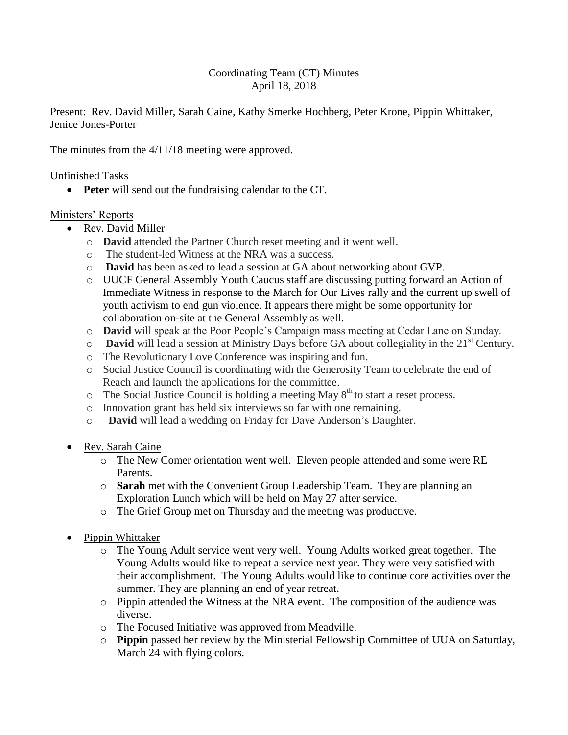# Coordinating Team (CT) Minutes April 18, 2018

Present: Rev. David Miller, Sarah Caine, Kathy Smerke Hochberg, Peter Krone, Pippin Whittaker, Jenice Jones-Porter

The minutes from the 4/11/18 meeting were approved.

## Unfinished Tasks

**Peter** will send out the fundraising calendar to the CT.

### Ministers' Reports

- Rev. David Miller
	- o **David** attended the Partner Church reset meeting and it went well.
	- o The student-led Witness at the NRA was a success.
	- o **David** has been asked to lead a session at GA about networking about GVP.
	- o UUCF General Assembly Youth Caucus staff are discussing putting forward an Action of Immediate Witness in response to the March for Our Lives rally and the current up swell of youth activism to end gun violence. It appears there might be some opportunity for collaboration on-site at the General Assembly as well.
	- o **David** will speak at the Poor People's Campaign mass meeting at Cedar Lane on Sunday.
	- o **David** will lead a session at Ministry Days before GA about collegiality in the 21<sup>st</sup> Century.
	- o The Revolutionary Love Conference was inspiring and fun.
	- o Social Justice Council is coordinating with the Generosity Team to celebrate the end of Reach and launch the applications for the committee.
	- $\circ$  The Social Justice Council is holding a meeting May  $8<sup>th</sup>$  to start a reset process.
	- o Innovation grant has held six interviews so far with one remaining.
	- o **David** will lead a wedding on Friday for Dave Anderson's Daughter.
- Rev. Sarah Caine
	- o The New Comer orientation went well. Eleven people attended and some were RE Parents.
	- o **Sarah** met with the Convenient Group Leadership Team. They are planning an Exploration Lunch which will be held on May 27 after service.
	- o The Grief Group met on Thursday and the meeting was productive.
- Pippin Whittaker
	- o The Young Adult service went very well. Young Adults worked great together. The Young Adults would like to repeat a service next year. They were very satisfied with their accomplishment. The Young Adults would like to continue core activities over the summer. They are planning an end of year retreat.
	- o Pippin attended the Witness at the NRA event. The composition of the audience was diverse.
	- o The Focused Initiative was approved from Meadville.
	- o **Pippin** passed her review by the Ministerial Fellowship Committee of UUA on Saturday, March 24 with flying colors.